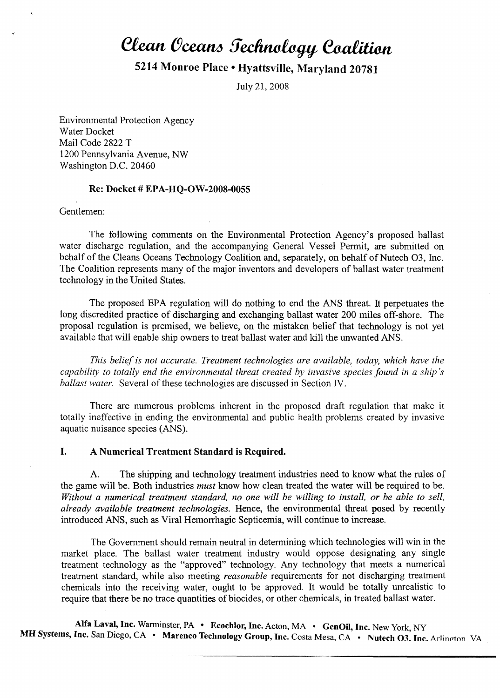# **Clean Oceans Jechnology Coalition**

# 5214 Monroe Place· Hyattsville, Maryland 20781

July 21,2008

Environmental Protection Agency Water Docket Mail Code 2822 T 1200 Pennsylvania Avenue, NW Washington D.C. 20460

#### Re: Docket # EPA-HQ-OW-2008-0055

Gentlemen:

The following comments on the Environmental Protection Agency's proposed ballast water discharge regulation, and the accompanying General Vessel Permit, are submitted on behalf of the Cleans Oceans Technology Coalition and, separately, on behalf of Nutech O3, Inc. The Coalition represents many of the major inventors and developers of ballast water treatment technology in the United States.

The proposed EPA regulation will do nothing to end the ANS threat. It perpetuates the long discredited practice of discharging and exchanging ballast water 200 miles off-shore. The proposal regulation is premised, we believe, on the mistaken belief that technology is not yet available that will enable ship owners to treat ballast water and kill the unwanted ANS.

*This belief is not accurate. Treatment technologies are available, today, which have the capability to totally end the environmental threat created by invasive species found in a ship's ballast water.* Several of these technologies are discussed in Section IV.

There are numerous problems inherent in the proposed draft regulation that make it totally ineffective in ending the environmental and public health problems created by invasive aquatic nuisance species (ANS).

#### I. A Numerical Treatment Standard is Required.

A. The shipping and technology treatment industries need to know what the rules of the game will be. Both industries *must* know how clean treated the water will be required to be. *Without a numerical treatment standard, no one will be willing to install, or be able to sell, already available treatment technologies.* Hence, the environmental threat posed by recently introduced ANS, such as Viral Hemorrhagic Septicemia, will continue to increase.

The Government should remain neutral in determining which technologies will win in the market place. The ballast water treatment industry would oppose designating any single treatment technology as the "approved" technology. Any technology that meets a numerical treatment standard, while also meeting *reasonable* requirements for not discharging treatment chemicals into the receiving water, ought to be approved. It would be totally unrealistic to require that there be no trace quantities of biocides, or other chemicals, in treated ballast water.

Alfa Laval, Inc. Warminster, PA • Ecochlor, Inc. Acton, MA • GenOil, Inc. New York, NY MH Systems, Inc. San Diego, CA • Marenco Technology Group, Inc. Costa Mesa, CA • Nutech O3. Inc. Arlington VA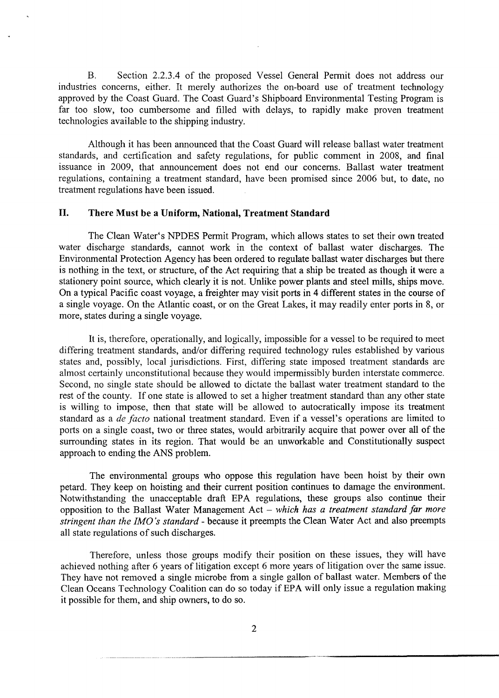B. Section 2.2.3.4 of the proposed Vessel General Pennit does not address our industries concerns, either. It merely authorizes the on-board use of treatment technology approved by the Coast Guard. The Coast Guard's Shipboard Environmental Testing Program is far too slow, too cumbersome and filled with delays, to rapidly make proven treatment technologies available to the shipping industry.

Although it has been announced that the Coast Guard will release ballast water treatment standards, and certification and safety regulations, for public comment in 2008, and final issuance in 2009, that announcement does not end our concerns. Ballast water treatment regulations, containing a treatment standard, have been promised since 2006 but, to date, no treatment regulations have been issued.

# II. There Must be a Uniform, National, Treatment Standard

The Clean Water's NPDES Permit Program, which allows states to set their own treated water discharge standards, cannot work in the context of ballast water discharges. The Environmental Protection Agency has been ordered to regulate ballast water discharges but there is nothing in the text, or structure, of the Act requiring that a ship be treated as though it were a stationery point source, which clearly it is not. Unlike power plants and steel mills, ships move. On a typical Pacific coast voyage, a freighter may visit ports in 4 different states in the course of a single voyage. On the Atlantic coast, or on the Great Lakes, it may readily enter ports in 8, or more, states during a single voyage.

It is, therefore, operationally, and logically, impossible for a vessel to be required to meet differing treatment standards, and/or differing required technology rules established by various states and, possibly, local jurisdictions. First, differing state imposed treatment standards are almost certainly unconstitutional because they would impermissibly burden interstate commerce. Second, no single state should be allowed to dictate the ballast water treatment standard to the rest of the county. If one state is allowed to set a higher treatment standard than any other state is willing to impose, then that state will be allowed to autocratically impose its treatment standard as a *de facto* national treatment standard. Even if a vessel's operations are limited to ports on a single coast, two or three states, would arbitrarily acquire that power over all of the surrounding states in its region. That would be an unworkable and Constitutionally suspect approach to ending the ANS problem.

The environmental groups who oppose this regulation have been hoist by their own petard. They keep on hoisting and their current position continues to damage the environment. Notwithstanding the unacceptable draft EPA regulations, these groups also continue their opposition to the Ballast Water Management Act - *which has a treatment standard far more stringent than the IMO's standard* - because it preempts the Clean Water Act and also preempts all state regulations of such discharges.

Therefore, unless those groups modify their position on these issues, they will have achieved nothing after 6 years of litigation except 6 more years of litigation over the same issue. They have not removed a single microbe from a single gallon of ballast water. Members of the Clean Oceans Technology Coalition can do so today if EPA will only issue a regulation making it possible for them, and ship owners, to do so.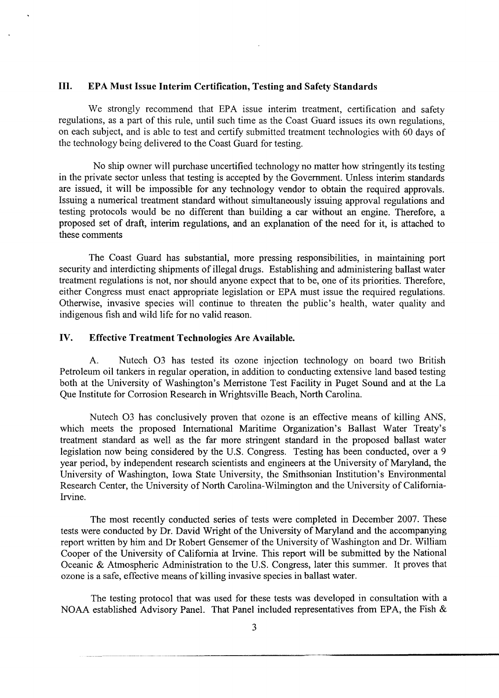## III. EPA Must Issue Interim Certification, Testing and Safety Standards

We strongly recommend that EPA issue interim treatment, certification and safety regulations, as a part of this rule, until such time as the Coast Guard issues its own regulations, on each subject, and is able to test and certify submitted treatment technologies with 60 days of the technology being delivered to the Coast Guard for testing.

No ship owner will purchase uncertified technology no matter how stringently its testing in the private sector unless that testing is accepted by the Government. Unless interim standards are issued, it will be impossible for any technology vendor to obtain the required approvals. Issuing a numerical treatment standard without simultaneously issuing approval regulations and testing protocols would be no different than building a car without an engine. Therefore, a proposed set of draft, interim regulations, and an explanation of the need for it, is attached to these comments

The Coast Guard has substantial, more pressing responsibilities, in maintaining port security and interdicting shipments of illegal drugs. Establishing and administering ballast water treatment regulations is not, nor should anyone expect that to be, one of its priorities. Therefore, either Congress must enact appropriate legislation or EPA must issue the required regulations. Otherwise, invasive species will continue to threaten the public's health, water quality and indigenous fish and wild life for no valid reason.

# IV. Effective Treatment Technologies Are Available.

A. Nutech 03 has tested its ozone injection technology on board two British Petroleum oil tankers in regular operation, in addition to conducting extensive land based testing both at the University of Washington's Merristone Test Facility in Puget Sound and at the La Que Institute for Corrosion Research in Wrightsville Beach, North Carolina.

Nutech 03 has conclusively proven that ozone is an effective means of killing ANS, which meets the proposed International Maritime Organization's Ballast Water Treaty's treatment standard as well as the far more stringent standard in the proposed ballast water legislation now being considered by the U.S. Congress. Testing has been conducted, over a 9 year period, by independent research scientists and engineers at the University of Maryland, the University of Washington, Iowa State University, the Smithsonian Institution's Environmental Research Center, the University of North Carolina-Wilmington and the University of California-Irvine.

The most recently conducted series of tests were completed in December 2007. These tests were conducted by Dr. David Wright of the University of Maryland and the accompanying report written by him and Dr Robert Gensemer of the University of Washington and Dr. William Cooper of the University of California at Irvine. This report will be submitted by the National Oceanic & Atmospheric Administration to the U.S. Congress, later this summer. It proves that ozone is a safe, effective means of killing invasive species in ballast water.

The testing protocol that was used for these tests was developed in consultation with a NOAA established Advisory Panel. That Panel included representatives from EPA, the Fish &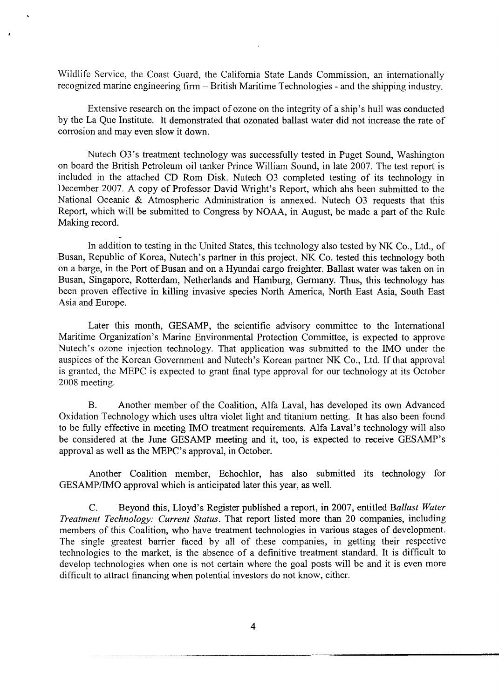Wildlife Service, the Coast Guard, the California State Lands Commission, an internationally recognized marine engineering firm - British Maritime Technologies - and the shipping industry.

Extensive research on the impact of ozone on the integrity of a ship's hull was conducted by the La Que Institute. It demonstrated that ozonated ballast water did not increase the rate of corrosion and may even slow it down.

Nutech 03 's treatment technology was successfully tested in Puget Sound, Washington on board the British Petroleum oil tanker Prince William Sound, in late 2007. The test report is included in the attached CD Rom Disk. Nutech 03 completed testing of its technology in December 2007. A copy of Professor David Wright's Report, which ahs been submitted to the National Oceanic & Atmospheric Administration is annexed. Nutech 03 requests that this Report, which will be submitted to Congress by NOAA, in August, be made a part of the Rule Making record.

In addition to testing in the United States, this technology also tested by NK Co., Ltd., of Busan, Republic of Korea, Nutech's partner in this project. NK Co. tested this technology both on a barge, in the Port of Busan and on a Hyundai cargo freighter. Ballast water was taken on in Busan, Singapore, Rotterdam, Netherlands and Hamburg, Germany. Thus, this technology has been proven effective in killing invasive species North America, North East Asia, South East Asia and Europe.

Later this month, GESAMP, the scientific advisory committee to the International Maritime Organization's Marine Environmental Protection Committee, is expected to approve Nutech's ozone injection technology. That application was submitted to the IMO under the auspices of the Korean Government and Nutech's Korean partner NK Co., Ltd. If that approval is granted, the MEPC is expected to grant final type approval for our technology at its October 2008 meeting.

B. Another member of the Coalition, Alfa Laval, has developed its own Advanced Oxidation Technology which uses ultra violet light and titanium netting. It has also been found to be fully effective in meeting IMO treatment requirements. Alfa Laval's technology will also be considered at the June GESAMP meeting and it, too, is expected to receive GESAMP's approval as well as the MEPC's approval, in October.

Another Coalition member, Echochlor, has also submitted its technology for *GESAMP/IMO* approval which is anticipated later this year, as well.

C. Beyond this, Lloyd's Register published a report, in 2007, entitled *Ballast Water Treatment Technology: Current Status.* That report listed more than 20 companies, including members of this Coalition, who have treatment technologies in various stages of development. The single greatest barrier faced by all of these companies, in getting their respective technologies to the market, is the absence of a definitive treatment standard. It is difficult to develop technologies when one is not certain where the goal posts will be and it is even more difficult to attract financing when potential investors do not know, either.